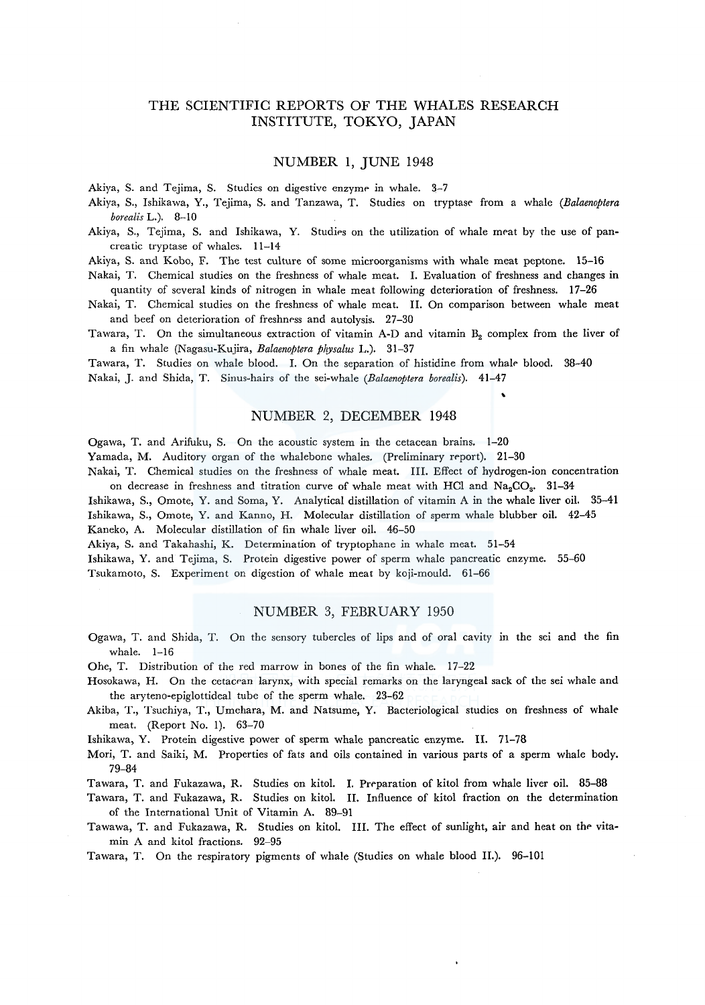# THE SCIENTIFIC REPORTS OF THE WHALES RESEARCH INSTITUTE, TOKYO, JAPAN

## NUMBER 1, JUNE 1948

Akiya, S. and Tejima, S. Studies on digestive enzyme in whale. 3-7

Akiya, S., Ishikawa, Y., Tejima, S. and Tanzawa, T. Studies on tryptase- from a whale *(Balaenoptera borealis* L.). 8-10

Akiya, S., Tejima, S. and Ishikawa, Y. Studies on the utilization of whale meat by the use of pancreatic tryptase of whales. 11-14

Akiya, S. and Koba, F. The test culture of some microorganisms with whale meat peptone. 15-16

Nakai, T. Chemical studies on the freshness of whale meat. I. Evaluation of freshness and changes in quantity of several kinds of nitrogen in whale meat following deterioration of freshness. 17-26

Nakai, T. Chemical studies on the freshness of whale meat. II. On comparison between whale meat and beef on deterioration of freshness and autolysis. 27-30

Tawara, T. On the simultaneous extraction of vitamin A-D and vitamin  $B_2$  complex from the liver of a fin whale (Nagasu-Kujira, *Balaenoptera physalus* L.). 31-37

Tawara, T. Studies on whale blood. I. On the separation of histidine from whalf' blood. 38-40 Nakai, J. and Shida, T. Sinus-hairs of the sei-whale *(Balaenoptera borealis).* 41-47

## NUMBER 2, DECEMBER 1948

Ogawa, T. and Arifuku, S. On the acoustic system in the cetacean brains. 1-20

Yamada, M. Auditory organ of the whalebone whales. (Preliminary report). 21-30

Nakai, T. Chemical studies on the freshness of whale meat. III. Effect of hydrogen-ion concentration on decrease in freshness and titration curve of whale meat with HCl and  $Na<sub>2</sub>CO<sub>3</sub>$ . 31-34

Ishikawa, S., Omote, Y. and Soma, Y. Analytical distillation of vitamin A in the whale liver oil. 35-41

Ishikawa, S., Omote, Y. and Kanno, H. Molecular distillation of sperm whale blubber oil. 42-45 Kaneko, A. Molecular distillation of fin whale liver oil. 46-50

Akiya, S. and Takahashi, K. Determination of tryptophane in whale meat. 51-54

Ishikawa, Y. and Tejima, S. Protein digestive power of sperm whale pancreatic enzyme. 55-60 Tsukamoto, S. Experiment on digestion of whale meat by koji-mould. 61-66

## NUMBER 3, FEBRUARY 1950

Ogawa, T. and Shida, T. On the sensory tubercles of lips and of oral cavity in the sei and the fin whale. 1-16

Ohe, T. Distribution of the red marrow in bones of the fin whale. 17-22

- Hosokawa, H. On the cetacean larynx, with special remarks on the laryngeal sack of the sei whale and the aryteno-epiglottideal tube of the sperm whale. 23-62
- Akiba, T., Tsuchiya, T., Umehara, M. and Natsume, Y. Bacteriological studies on freshness of whale meat. (Report No. 1). 63-70

Ishikawa, Y. Protein digestive power of sperm whale pancreatic enzyme. II. 71-78

Mori, T. and Saiki, M. Properties of fats and oils contained in various parts of a sperm whale body. 79-84

Tawara, T. and Fukazawa, R. Studies on kitol. I. Preparation of kitol from whale liver oil. 85-88

Tawara, T. and Fukazawa, R. Studies on kitol. II. Influence of kitol fraction on the determination of the International Unit of Vitamin A. 89-91

Tawawa, T. and Fukazawa, R. Studies on kitol. III. The effect of sunlight, air and heat on the vitamin A and kitol fractions. 92-95

Tawara, T. On the respiratory pigments of whale (Studies on whale blood II.). 96-101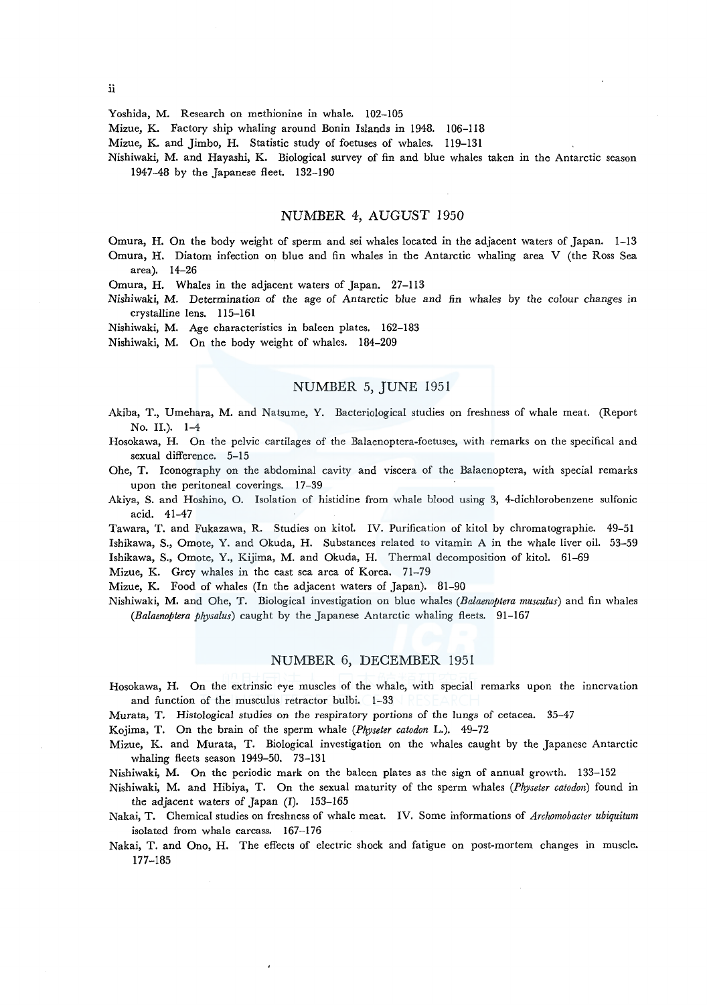#### Yoshida, M. Research on methionine in whale. 102-105

Mizue, K. Factory ship whaling around Bonin Islands in 1948. 106-118

Mizue, K. and Jimbo, H. Statistic study of foetuses of whales. 119-131

Nishiwaki, M. and Hayashi, K. Biological survey of fin and blue whales taken in the Antarctic season 1947-48 by the Japanese fleet. 132-190

## NUMBER 4, AUGUST 1950

Omura, H. On the body weight of sperm and sei whales located in the adjacent waters of Japan. 1-13 Omura, H. Diatom infection on blue and fin whales in the Antarctic whaling area V (the Ross Sea area). 14-26

Omura, H. Whales in the adjacent waters of Japan. 27-113

Nishiwaki, M. Determination of the age of Antarctic blue and fin whales by the colour changes in crystalline lens. 115-161

Nishiwaki, M. Age characteristics in baleen plates. 162-183

Nishiwaki, M. On the body weight of whales. 184-209

# NUMBER 5, JUNE 1951

Akiba, T., Umehara, M. and Natsume, Y. Bacteriological studies on freshness of whale meat. (Report No. II.). 1-4

Hosokawa, H. On the pelvic cartilages of the Balaenoptera-foetuses, with remarks on the specifical and sexual difference. 5-15

Ohe, T. Iconography on the abdominal cavity and viscera of the Balaenoptera, with special remarks upon the peritoneal coverings. 17-39

Akiya, S. and Hoshino, 0. Isolation of histidine from whale blood using 3, 4-dichlorobenzene sulfonic acid. 41-47

Tawara, T. and Fukazawa, R. Studies on kitol. IV. Purification of kitol by chromatographie. 49-51 Ishikawa, S., Omote, Y. and Okuda, H. Substances related to vitamin A in the whale liver oil. 53-59 Ishikawa, S., Omote, Y., Kijima, M. and Okuda, H. Thermal decomposition of kitol. 61-69

Mizue, K. Grey whales in the east sea area of Korea. 71-79

Mizue, K. Food of whales (In the adjacent waters of Japan). 81-90

Nishiwaki, M. and Ohe, T. Biological investigation on blue whales *(Balaenoptera musculus)* and fin whales *(Balaenoptera physalus)* caught by the Japanese Antarctic whaling fleets. 91-167

#### NUMBER 6, DECEMBER 1951

Hosokawa, H. On the extrinsic eye muscles of the whale, with special remarks upon the innervation and function of the musculus retractor bulbi. 1-33

Murata, T. Histological studies on the respiratory portions of the lungs of cetacea. 35-47

Kojima, T. On the brain of the sperm whale *(Physeter catodon* L.). 49-72

Mizue, K. and Murata, T. Biological investigation on the whales caught by the Japanese Antarctic whaling fleets season 1949-50. 73-131

Nishiwaki, M. On the periodic mark on the baleen plates as the sign of annual growth. 133-152

Nishiwaki, M. and Hibiya, T. On the sexual maturity of the sperm whales *(Physeter catodon)* found in the adjacent waters of Japan (I). 153-165

Nakai, T. Chemical studies on freshness of whale meat. IV. Some informations of *Archomobacter ubiquitum*  isolated from whale carcass. 167-176

Nakai, T. and Ono, H. The effects of electric shock and fatigue on post-mortem changes in muscle. 177-185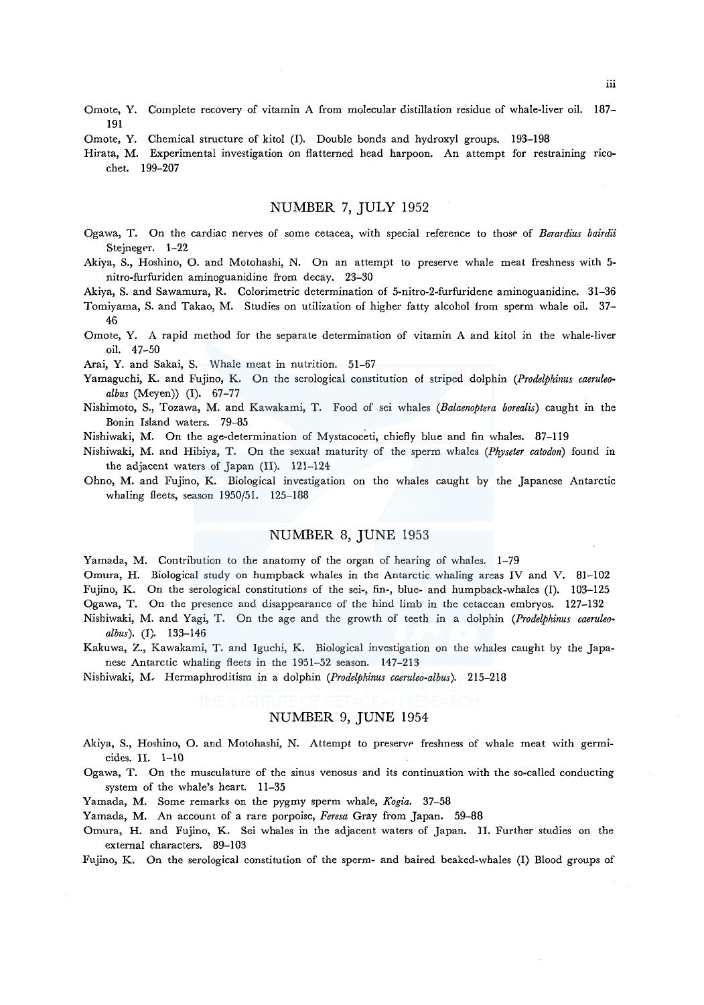- Omote, Y. Complete recovery of vitamin A from molecular distillation residue of whale-liver oil. 187- 191
- Omote, Y. Chemical structure of kitol (I). Double bonds and hydroxyl groups. 193-198
- Hirata, M. Experimental investigation on flatterned head harpoon. An attempt for restraining ricochet. 199-207

## NUMBER 7, JULY 1952

- Ogawa, T. On the cardiac nerves of some cetacea, with special reference to those of *Berardius bairdii* Stejneger. 1-22
- Akiya, S., Hoshino, 0. and Motohashi, N. On an attempt to preserve whale meat freshness with 5 nitro-furfuriden aminoguanidine from decay. 23-30

Akiya, S. and Sawamura, R. Colorimetric determination of 5-nitro-2-furfuridene aminoguanidine. 31-36

- Tomiyama, S. and Takao, M. Studies on utilization of higher fatty alcohol from sperm whale oil. 37- 46
- Omote, Y. A rapid method for the separate determination of vitamin A and kitol in the whale-liver oil. 47-50

Arai, Y. and Sakai, S. Whale meat in nutrition. 51-67

- Yamaguchi, K. and Fujino, K. On the serological constitution of striped dolphin *(Prodelphinus caeruleoalbus* (Meyen)) (I). 67-77
- Nishimoto, S., Tozawa, M. and Kawakami, T. Food of sei whales *(Balaenoptera borealis)* caught in the Bonin Island waters. 79-85
- Nishiwaki, M. On the age-determination of Mystacoceti, chiefly blue and fin whales. 87-119
- Nishiwaki, M. and Hibiya, T. On the sexual maturity of the sperm whales *(Physeter catodon)* found in the adjacent waters of Japan (II). 121-124
- Ohno, M. and Fujino, K. Biological investigation on the whales caught by the Japanese Antarctic whaling fleets, season 1950/51. 125-188

## NUMBER 8, JUNE 1953

Yamada, M. Contribution to the anatomy of the organ of hearing of whales. 1-79

Omura, H. Biological study on humpback whales in the Antarctic whaling areas IV and V. 81-102 Fujino, K. On the serological constitutions of the sei-, fin-, blue- and humpback-whales (I). 103-125 Ogawa, T. On the presence and disappearance of the hind limb in the cetacean embryos. 127-132

- Nishiwaki, M. and Yagi, T. On the age and the growth of teeth in a dolphin *(Prodelphinus caeruleoalbus).* (I). 133-146
- Kakuwa, Z., Kawakami, T. and Iguchi, K. Biological investigation on the whales caught by the Japanese Antarctic whaling fleets in the 1951-52 season. 147-213

Nishiwaki, M, Hermaphroditism in a dolphin *(Prodelphinus caeruleo-albus).* 215-218

# NUMBER 9, JUNE 1954

- Akiya, S., Hoshino, O. and Motohashi, N. Attempt to preserve freshness of whale meat with germicides. II. 1-10
- Ogawa, T. On the musculature of the sinus venosus and its continuation with the so-called conducting system of the whale's heart. 11-35
- Yamada, M. Some remarks on the pygmy sperm whale, *Kogia.* 37-58

Yamada, M. An account of a rare porpoise, *Feresa* Gray from Japan. 59-88

Omura, H. and Fujino, K. Sei whales in the adjacent waters of Japan. II. Further studies on the external characters. 89-103

Fujino, K. On the serological constitution of the sperm- and haired beaked-whales (I) Blood groups of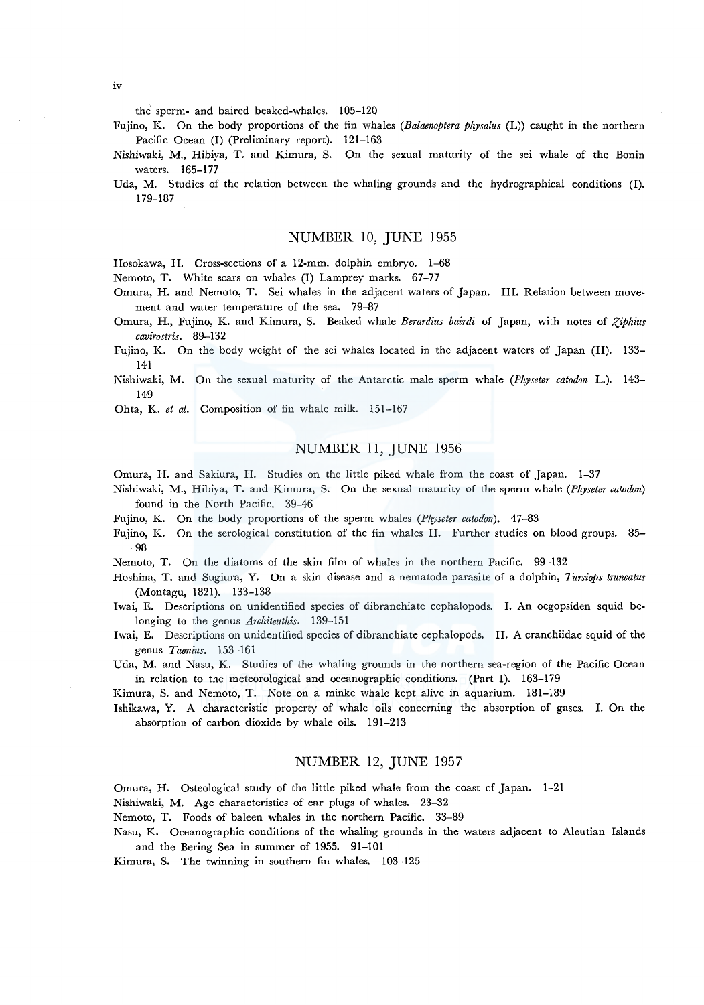the sperm- and haired beaked-whales. 105-120

Fujino, K. On the body proportions of the fin whales *(Balaenoptera physalus* (L)) caught in the northern Pacific Ocean (I) (Preliminary report). 121-163

- Nishiwaki, M., Hibiya, T. and Kimura, S. On the sexual maturity of the sei whale of the Bonin waters. 165-177
- Uda, M. Studies of the relation between the whaling grounds and the hydrographical conditions (I). 179-187

#### NUMBER 10, JUNE 1955

Hosokawa, H. Cross-sections of a 12-mm. dolphin embryo. 1-68

Nemoto, T. White scars on whales (I) Lamprey marks. 67-77

- Omura, H. and Nemoto, T. Sei whales in the adjacent waters of Japan. III. Relation between movement and water temperature of the sea. 79-87
- Omura, H., Fujino, K. and Kimura, S. Beaked whale *Berardius bairdi* of Japan, with notes of *Ziphius cavirostris.* 89-132

Fujino, K. On the body weight of the sei whales located in the adjacent waters of Japan (II). 133- 141

Nishiwaki, M. On the sexual maturity of the Antarctic male sperm whale *(Physeter catodon* L.). 143- 149

Ohta, K. *et al.* Composition of fin whale milk. 151-167

## NUMBER 11, JUNE 1956

Omura, H. and Sakiura, H. Studies on the little piked whale from the coast of Japan. 1-37

- Nishiwaki, M., Hibiya, T. and Kimura, S. On the sexual maturity of the sperm whale *(Physeter catodon)*  found in the North Pacific. 39-46
- Fujino, K. On the body proportions of the sperm whales *(Physeter catodon).* 47-83
- Fujino, K. On the serological constitution of the fin whales II. Further studies on blood groups. 85- 98
- Nemoto, T. On the diatoms of the skin film of whales in the northern Pacific. 99-132
- Hoshina, T. and Sugiura, Y. On a skin disease and a nematode parasite of a dolphin, *Tursiops truncatus*  (Montagu, 1821). 133-138
- Iwai, E. Descriptions on unidentified species of dibranchiate cephalopods. I. An oegopsiden squid belonging to the genus *Architeuthis.* 139-151
- Iwai, E. Descriptions on unidentified species of dibranchiate cephalopods. II. A cranchiidae squid of the genus *Taonius.* 153-161
- Uda, M. and Nasu, K. Studies of the whaling grounds in the northern sea-region of the Pacific Ocean in relation to the meteorological and oceanographic conditions. (Part I). 163-179

Kimura, S. and Nemoto, T. Note on a minke whale kept alive in aquarium. 181-189

Ishikawa, Y. A characteristic property of whale oils concerning the absorption of gases. I. On the absorption of carbon dioxide by whale oils. 191-213

## NUMBER 12, JUNE 1957"

Omura, H. Osteological study of the little piked whale from the coast of Japan. 1-21

Nishiwaki, M. Age characteristics of ear plugs of whales. 23-32

Nemoto, T. Foods of baleen whales in the northern Pacific. 33-89

Nasu, K. Oceanographic conditions of the whaling grounds in the waters adjacent to Aleutian Islands and the Bering Sea in summer of 1955. 91-101

Kimura, S. The twinning in southern fin whales. 103-125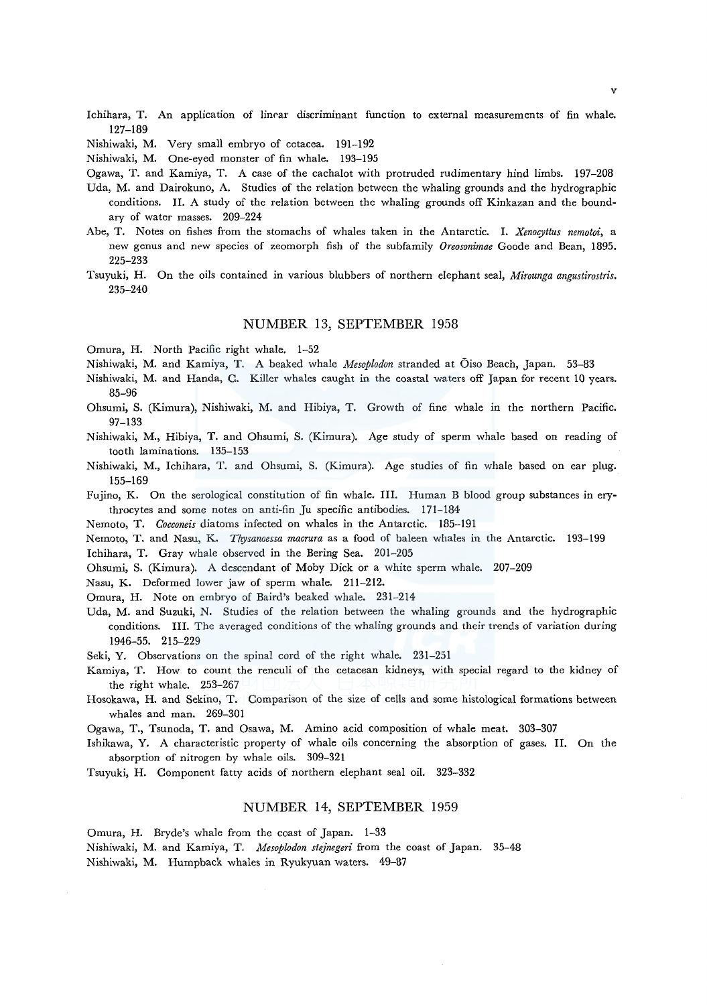Ichihara, T. An application of linear discriminant function to external measurements of fin whale. 127-189

Nishiwaki, M. Very small embryo of cetacea. 191-192

Nishiwaki, M. One-eyed monster of fin whale. 193-195

Ogawa, T. and Kamiya, T. A case of the cachalot with protruded rudimentary hind limbs. 197-208

- Uda, M. and Dairokuno, A. Studies of the relation between the whaling grounds and the hydrographic conditions. II. A study of the relation between the whaling grounds off Kinkazan and the boundary of water masses. 209-224
- Abe, T. Notes on fishes from the stomachs of whales taken in the Antarctic. I. *Xenocyttus nematoi,* a new genus and new species of zeomorph fish of the subfamily *Oreosonimae* Goode and Bean, 1895. 225-233
- Tsuyuki, H. On the oils contained in various blubbers of northern elephant seal, *Afirounga angustirostris.*  235-240

## NUMBER 13, SEPTEMBER 1958

Omura, H. North Pacific right whale. 1-52

Nishiwaki, M. and Kamiya, T. A beaked whale *Mesapladon* stranded at Oiso Beach, Japan. 53-83

- Nishiwaki, M. and Randa, C. Killer whales caught in the coastal waters off Japan for recent 10 years. 85-96
- Ohsumi, S. (Kimura), Nishiwaki, M. and Hibiya, T. Growth of fine whale in the northern Pacific. 97-133
- Nishiwaki, M., Hibiya, T. and Ohsumi, S. (Kimura). Age study of sperm whale based on reading of tooth laminations. 135-153
- Nishiwaki, M., Ichihara, T. and Ohsumi, S. (Kimura). Age studies of fin whale based on ear plug. 155-169
- Fujino, K. On the serological constitution of fin whale. III. Human B blood group substances in erythrocytes and some notes on anti-fin Ju specific antibodies. 171-184

Nemoto, T. *Cocconeis* diatoms infected on whales in the Antarctic. 185-191

Nemoto, T. and Nasu, K. *Thysanoessa macrura* as a food of baleen whales in the Antarctic. 193-199 Ichihara, T. Gray whale observed in the Bering Sea. 201-205

Ohsumi, S. (Kimura). A descendant of Moby Dick or a white sperm whale. 207-209

Nasu, K. Deformed lower jaw of sperm whale. 211-212.

Omura, H. Note on embryo of Baird's beaked whale. 231-214

Uda, M. and Suzuki, N. Studies of the relation between the whaling grounds and the hydrographic conditions. III. The averaged conditions of the whaling grounds and their trends of variation during 1946-55. 215-229

Seki, Y. Observations on the spinal cord of the right whale. 231-251

- Kamiya, T. How to count the renculi of the cetacean kidneys, with special regard to the kidney of the right whale. 253-267
- Hosokawa, H. and Sekino, T. Comparison of the size of cells and some histological formations between whales and man. 269-301

Ogawa, T., Tsunoda, T. and Osawa, M. Amino acid composition of whale meat. 303-307

Ishikawa, Y. A characteristic property of whale oils concerning the absorption of gases. II. On the absorption of nitrogen by whale oils. 309-321

Tsuyuki, H. Component fatty acids of northern elephant seal oil. 323-332

## NUMBER 14, SEPTEMBER 1959

Omura, H. Bryde's whale from the coast of Japan. 1-33

Nishiwaki, M. and Kamiya, T. *Mesaplodon ste}negeri* from the coast of Japan. 35-48 Nishiwaki, M. Humpback whales in Ryukyuan waters. 49-87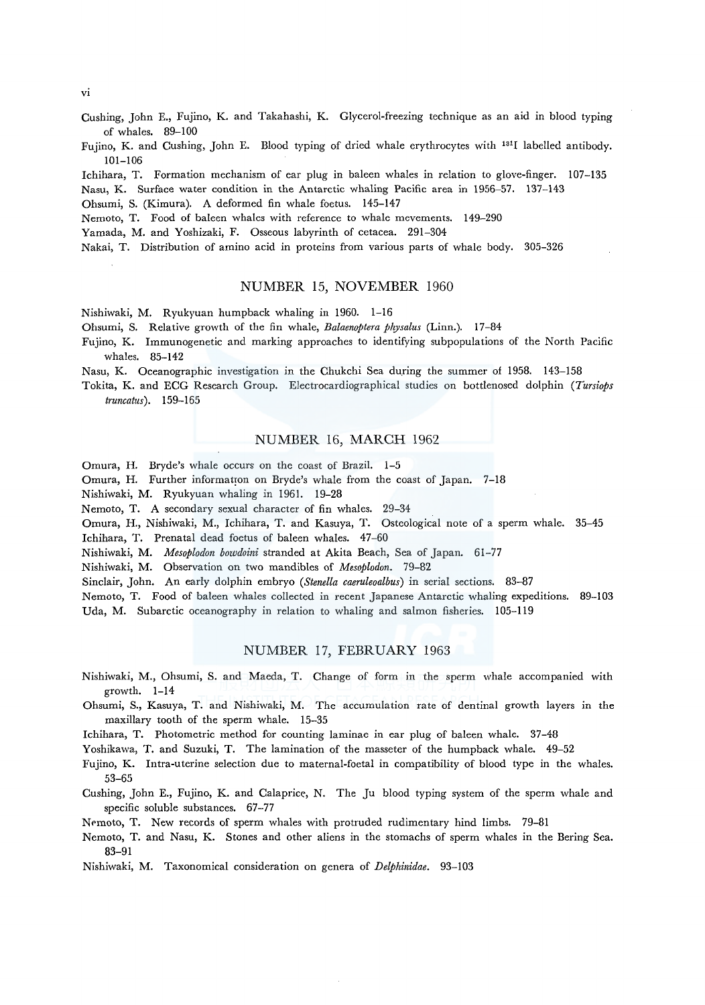#### Vl

- Cushing, John E., Fujino, K. and Takahashi, K. Glycerol-freezing technique as an aid in blood typing of whales. 89-100
- Fujino, K. and Cushing, John E. Blood typing of dried whale erythrocytes with 1311 labelled antibody. 101-106

Ichihara, T. Formation mechanism of ear plug in baleen whales in relation to glove-finger. 107-135 Nasu, K. Surface water condition in the Antarctic whaling Pacific area in 1956-57. 137-143

Ohsumi, S. (Kimura). A deformed fin whale foetus. 145-147

Nemoto, T. Food of baleen whales with reference to whale mevements. 149-290

Yamada, M. and Yoshizaki, F. Osseous labyrinth of cetacea. 291-304

Nakai, T. Distribution of amino acid in proteins from various parts of whale body. 305-326

## NUMBER 15, NOVEMBER 1960

Nishiwaki, M. Ryukyuan humpback whaling in 1960. 1-16

Ohsumi, S. Relative growth of the fin whale, *Balaenoptera physalus* (Linn.). 17-84

Fujino, K. Immunogenetic and marking approaches to identifying subpopulations of the North Pacific whales. 85-142

Nasu, K. Oceanographic investigation in the Chukchi Sea during the summer of 1958. 143-158

Tokita, K. and ECG Research Group. Electrocardiographical studies on bottlenosed dolphin *(Tursiops truncatus).* 159-165

## NUMBER 16, MARCH 1962

Omura, H. Bryde's whale occurs on the coast of Brazil. 1-5

Omura, H. Further information on Bryde's whale from the coast of Japan. 7-18

Nishiwaki, M. Ryukyuan whaling in 1961. 19-28

Nemoto, T. A secondary sexual character of fin whales. 29-34

Omura, H., Nishiwaki, M., Ichihara, T. and Kasuya, T. Osteological note of a sperm whale. 35-45 Ichihara, T. Prenatal dead foetus of baleen whales. 47-60

Nishiwaki, M. *Mesoplodon bowdoini* stranded at Akita Beach, Sea of Japan. 61-77

Nishiwaki, M. Observation on two mandibles of *Mesoplodon.* 79-82

Sinclair, John. An early dolphin embryo *(Stenella caeruleoalbus)* in serial sections. 83-87

Nemoto, T. Food of baleen whales collected in recent Japanese Antarctic whaling expeditions. 89-103 Uda, M. Subarctic oceanography in relation to whaling and salmon fisheries. 105-119

## NUMBER 17, FEBRUARY 1963

- Nishiwaki, M., Ohsumi, S. and Maeda, T. Change of form in the sperm whale accompanied with growth. 1-14
- Ohsumi, S., Kasuya, T. and Nishiwaki, M. The accumulation rate of dentinal growth layers in the maxillary tooth of the sperm whale. 15-35

Ichihara, T. Photometric method for counting laminae in ear plug of baleen whale. 37-48

Yoshikawa, T. and Suzuki, T. The lamination of the masseter of the humpback whale. 49-52

- Fujino, K. Intra-uterine selection due to maternal-foetal in compatibility of blood type *in* the whales. 53-65
- Cushing, John E., Fujino, K. and Calaprice, N. The Ju blood typing system of the sperm whale and specific soluble substances. 67-77

Nemoto, T. New records of sperm whales with protruded rudimentary hind limbs. 79-81

- Nemoto, T. and Nasu, K. Stones and other aliens in the stomachs of sperm whales in the Bering Sea. 83-91
- Nishiwaki, M. Taxonomical consideration on genera of *Delphinidae.* 93-103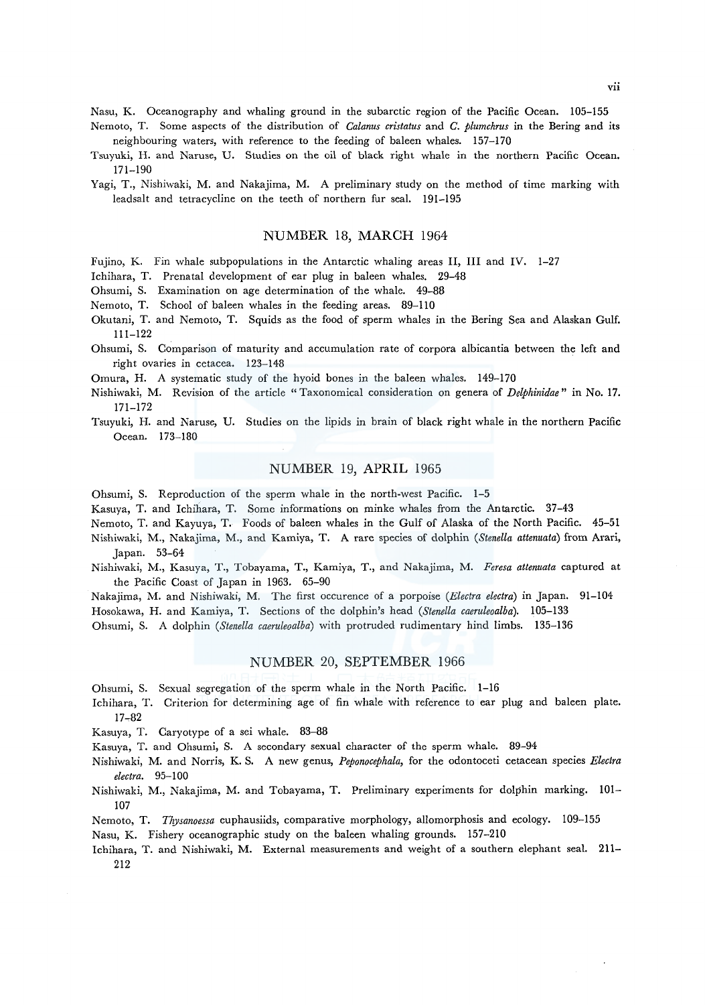Nasu, K. Oceanography and whaling ground in the subarctic region of the Pacific Ocean. 105-155

- Nemoto, T. Some aspects of the distribution of *Calanus cristatus* and *C. plumchrus* in the Bering and its neighbouring waters, with reference to the feeding of baleen whales. 157-170
- Tsuyuki, H. and Naruse, U. Studies on the oil of black right whale in the northern Pacific Ocean. 171-190
- Yagi, T., Nishiwaki, M. and Nakajima, M. A preliminary study on the method of time marking with leadsalt and tetracycline on the teeth of northern fur seal. 191-195

## NUMBER 18, MARCH 1964

Fujino, K. Fin whale subpopulations in the Antarctic whaling areas II, III and IV. 1-27

- Ichihara, T. Prenatal development of ear plug in baleen whales. 29-48
- Ohsumi, S. Examination on age determination of the whale. 49-88
- Nemoto, T. School of baleen whales in the feeding areas. 89-110
- Okutani, T. and Nemoto, T. Squids as the food of sperm whales in the Bering Sea and Alaskan Gulf. 111-122
- Ohsumi, S. Comparison of maturity and accumulation rate of corpora albicantia between the left and right ovaries in cetacea. 123-148

Omura, H. A systematic study of the hyoid bones in the baleen whales. 149-170

- Nishiwaki, M. Revision of the article "Taxonomical consideration on genera of *Delphinidae"* in No. 17. 171-172
- Tsuyuki, H. and Naruse, U. Studies on the lipids in brain of black right whale in the northern Pacific Ocean. 173-180

## NUMBER 19, APRIL 1965

Ohsumi, S. Reproduction of the sperm whale in the north-west Pacific. 1-5

Kasuya, T. and Ichihara, T. Some informations on minke whales from the Antarctic. 37-43

- Nemoto, T. and Kayuya, T. Foods of baleen whales in the Gulf of Alaska of the North Pacific. 45-51
- Nishiwaki, M., Nakajima, M., and Kamiya, T. A rare species of dolphin *(Stenella attenuata)* from Arari, Japan. 53-64
- Nishiwaki, M., Kasuya, T., Tobayama, T., Kamiya, T., and Nakajima, M. *Feresa attenuata* captured at the Pacific Coast of Japan in 1963. 65-90
- Nakajima, M. and Nishiwaki, M. The first occurence of a porpoise *(Electra electra)* in Japan. 91-104

Hosokawa, H. and Kamiya, T. Sections of the dolphin's head *(Stenella caeruleoalba).* 105-133

Ohsumi, S. A dolphin *(Stene/la caeruleoalba)* with protruded rudimentary hind limbs. 135-136

#### NUMBER 20, SEPTEMBER 1966

- Ohsumi, S. Sexual segregation of the sperm whale in the North Pacific. 1-16
- Ichihara, T. Criterion for determining age of fin whale with reference to ear plug and baleen plate. 17~82

Kasuya, T. Caryotype of a sei whale. 83-88

- Kasuya, T. and Ohsumi, S. A secondary sexual character of the sperm whale. 89-94
- Nishiwaki, M. and Norris, K. S. A new genus, *Peponocephala,* for the odontoceti cetacean species *Electra electra.* 95-100
- Nishiwaki, M., Nakajima, M. and Tobayama, T. Preliminary experiments for dolphin marking. 101- 107
- Nemoto, T. *Thysanoessa* euphausiids, comparative morphology, allomorphosis and ecology. 109-155
- Nasu, K. Fishery oceanographic study on the baleen whaling grounds. 157-210
- Ichihara, T. and Nishiwaki, M. External measurements and weight of a southern elephant seal. 211- 212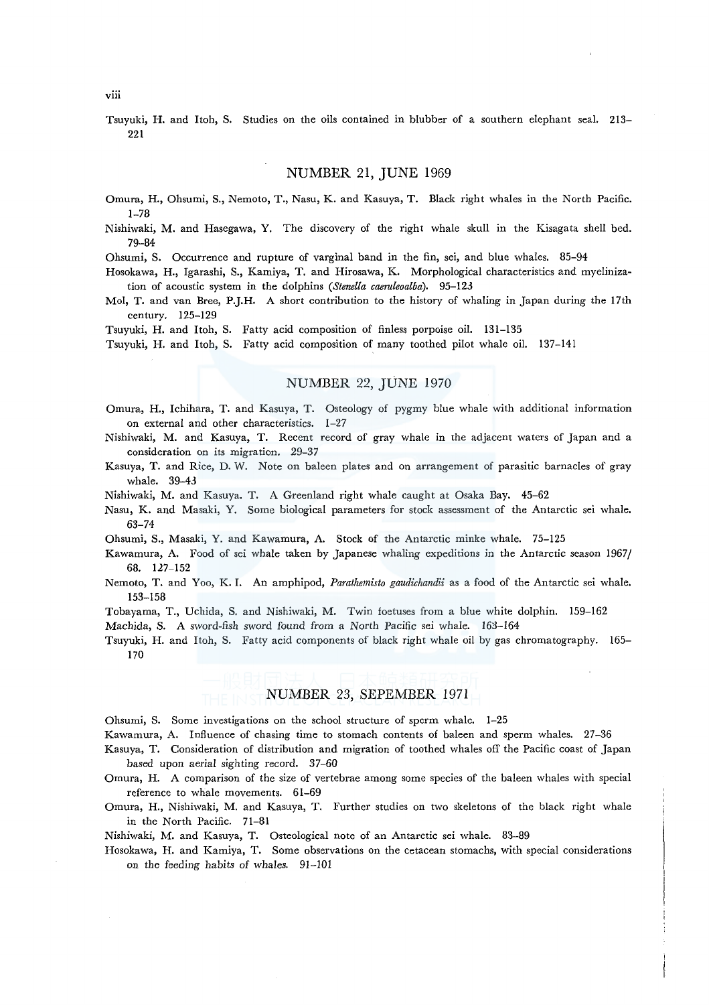Tsuyuki, H. and Itoh, S. Studies on the oils contained in blubber of a southern elephant seal. 213- 221

## NUMBER 21, JUNE 1969

- Omura, H., Ohsumi, S., Nemoto, T., Nasu, K. and Kasuya, T. Black right whales in the North Pacific. 1-78
- Nishiwaki, M. and Hasegawa, Y. The discovery of the right whale skull in the Kisagata shell bed. 79-84

Ohsumi, S. Occurrence and rupture of varginal band in the fin, sei, and blue whales. 85-94

Hosokawa, H., Igarashi, S., Kamiya, T. and Hirosawa, K. Morphological characteristics and myelinization of acoustic system in the dolphins *(Stenella caeruleoalba).* 95-123

Mo!, T. and van Bree, P.J.H. A short contribution to the history of whaling in Japan during the 17th century. 125-129

Tsuyuki, H. and Itoh, S. Fatty acid composition of finless porpoise oil. 131-135

Tsuyuki, H. and Itoh, S. Fatty acid composition of many toothed pilot whale oil. 137-141

## NUMBER 22, JUNE 1970

- Omura, H., Ichihara, T. and Kasuya, T. Osteology of pygmy blue whale with additional information on external and other characteristics. 1-27
- Nishiwaki, M. and Kasuya, T. Recent record of gray whale in the adjacent waters of Japan and a consideration on its migration. 29-37
- Kasuya, T. and Rice, D. W. Note on baleen plates and on arrangement of parasitic barnacles of gray whale. 39-43
- Nishiwaki, M. and Kasuya. T. A Greenland right whale caught at Osaka Bay. 45-62
- Nasu, K. and Masaki, Y. Some biological parameters for stock assessment of the Antarctic sei whale. 63-74
- Ohsumi, S., Masaki, Y. and Kawamura, A. Stock of the Antarctic minke whale. 75-125
- Kawamura, A. Food of sei whale taken by Japanese whaling expeditions in the Antarctic season 1967/ 68. 127-152
- Nemoto, T. and Yoo, K. I. An amphipod, *Parathemisto gaudichandii* as a food of the Antarctic sei whale. 153-158
- Tobayama, T., Uchida, S. and Nishiwaki, M. Twin foetuses from a blue white dolphin. 159-162

Machida, S. A sword-fish sword found from a North Pacific sei whale. 163-164

Tsuyuki, H. and ltoh, S. Fatty acid components of black right whale oil by gas chromatography. 165- 170

## NUMBER 23, SEPEMBER 1971

Ohsumi, S. Some investigations on the school structure of sperm whale. 1-25

Kawamura, A. Influence of chasing time to stomach contents of baleen and sperm whales. 27-36

- Kasuya, T. Consideration of distribution and migration of toothed whales off the Pacific coast of Japan based upon aerial sighting record. 37-60
- Omura, H. A comparison of the size of vertebrae among some species of the baleen whales with special reference to whale movements. 61-69
- Omura, H., Nishiwaki, M. and Kasuya, T. Further studies on two skeletons of the black right whale in the North Pacific. 71-81

Nishiwaki, M. and Kasuya, T. Osteological note of an Antarctic sei whale. 83-89

Hosokawa, H. and Kamiya, T. Some observations on the cetacean stomachs, with special considerations on the feeding habits of whales. 91-101

viii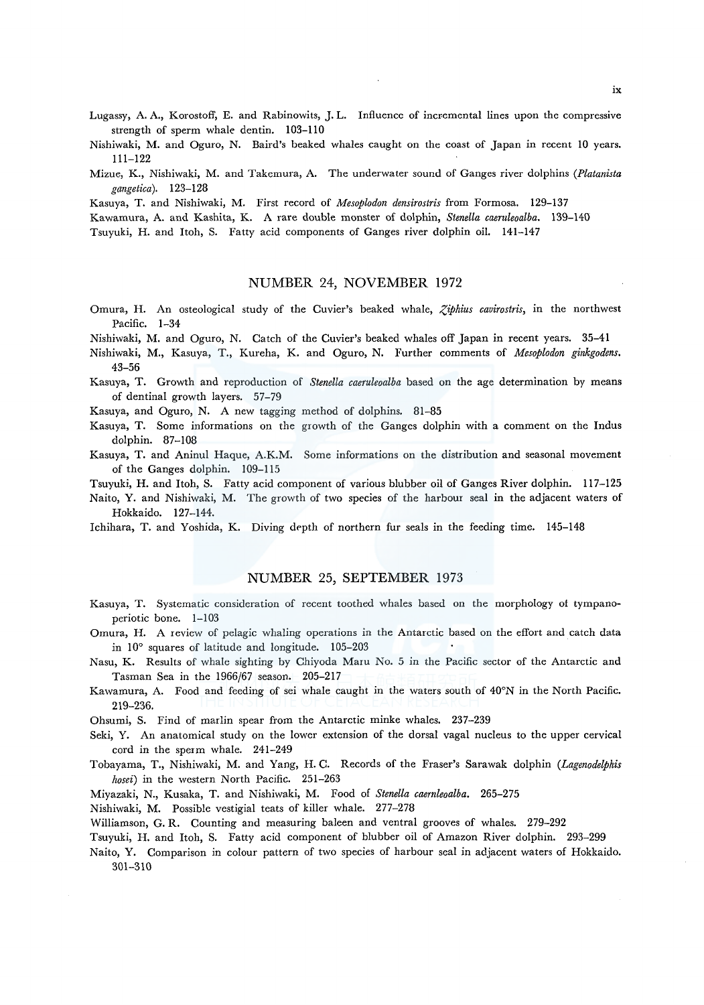Lugassy, A. A., Korostoff, E. and Rabinowits, J. L. Influence of incremental lines upon the compressive strength of sperm whale dentin. 103-110

- Nishiwaki, M. and Oguro, N. Baird's beaked whales caught on the coast of Japan in recent 10 years. 111-122
- Mizue, K., Nishiwaki, M. and Takemura, A. The underwater sound of Ganges river dolphins *(Platanista gangetica).* 123-128

Kasuya, T. and Nishiwaki, M. First record of *Mesoplodon densirostris* from Formosa. 129-137

Kawamura, A. and Kashita, K. A rare double monster of dolphin, *Stenella caeruleoalba.* 139-140

Tsuyuki, H. and Itoh, S. Fatty acid components of Ganges river dolphin oil. 141-147

## NUMBER 24, NOVEMBER 1972

Omura, H. An osteological study of the Cuvier's beaked whale, *Ziphius cavirostris*, in the northwest Pacific. 1-34

Nishiwaki, M. and Oguro, N. Catch of the Cuvier's beaked whales off Japan in recent years. 35-41

- Nishiwaki, M., Kasuya, T., Kureha, K. and Oguro, N. Further comments of *Mesoplodon ginkgodens.*  43-56
- Kasuya, T. Growth and reproduction of *Stenella caeruleoalba* based on the age determination by means of dentinal growth layers. 57-79
- Kasuya, and Oguro, N. A new tagging method of dolphins. 81-85
- Kasuya, T. Some informations on the growth of the Ganges dolphin with a comment on the Indus dolphin. 87-108
- Kasuya, T. and Aninul Haque, A.K.M. Some informations on the distribution and seasonal movement of the Ganges dolphin. 109-115

Tsuyuki, H. and Itoh, S. Fatty acid component of various blubber oil of Ganges River dolphin. 117-125

- Naito, Y. and Nishiwaki, M. The growth of two species of the harbour seal in the adjacent waters of Hokkaido. 127-144.
- Ichihara, T. and Yoshida, K. Diving depth of northern fur seals in the feeding time. 145-148

#### NUMBER 25, SEPTEMBER 1973

- Kasuya, T. Systematic consideration of recent toothed whales based on the morphology of tympanoperiotic bone. 1-103
- Omura, H. A review of pelagic whaling operations in the Antarctic based on the effort and catch data in 10° squares of latitude and longitude. 105-203
- Nasu, K. Results of whale sighting by Chiyoda Maru No. 5 in the Pacific sector of the Antarctic and Tasman Sea in the 1966/67 season. 205-217
- Kawamura, A. Food and feeding of sei whale caught in the waters south of 40°N in the North Pacific. 219-236.
- Ohsumi, S. Find of marlin spear from the Antarctic minke whales. 237-239
- Seki, Y. An anatomical study on the lower extension of the dorsal vagal nucleus to the upper cervical cord in the sperm whale. 241-249
- Tobayama, T., Nishiwaki, M. and Yang, H. C. Records of the Fraser's Sarawak dolphin *(Lagenodelphis hosei)* in the western North Pacific. 251-263
- Miyazaki, N., Kusaka, T. and Nishiwaki, M. Food of *Stenella caernleoalba.* 265-275

Nishiwaki, M. Possible vestigial teats of killer whale. 277-278

Williamson, G. R. Counting and measuring baleen and ventral grooves of whales. 279-292

- Tsuyuki, H. and Itoh, S. Fatty acid component of blubber oil of Amazon River dolphin. 293-299
- Naito, Y. Comparison in colour pattern of two species of harbour seal in adjacent waters of Hokkaido. 301-310